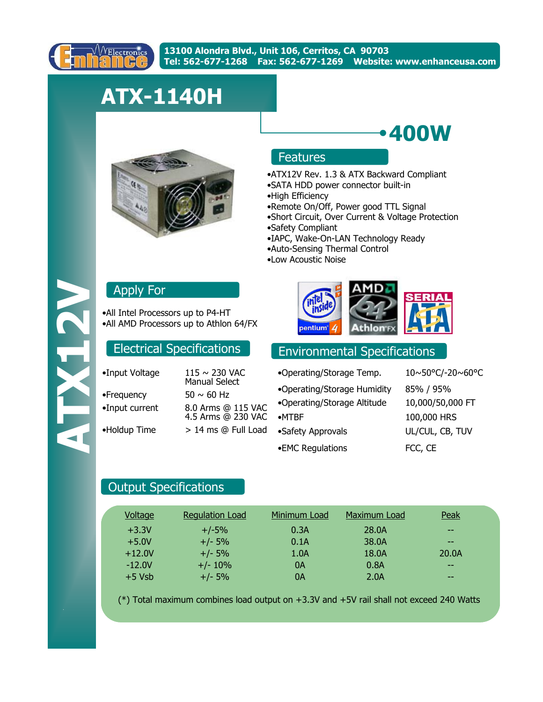

# **ATX-1140H**



# Features

•ATX12V Rev. 1.3 & ATX Backward Compliant

**400W**

- •SATA HDD power connector built-in
- •High Efficiency
- •Remote On/Off, Power good TTL Signal
- •Short Circuit, Over Current & Voltage Protection
- •Safety Compliant
- •IAPC, Wake-On-LAN Technology Ready
- •Auto-Sensing Thermal Control
- •Low Acoustic Noise

# Apply For

•All Intel Processors up to P4-HT •All AMD Processors up to Athlon 64/FX

| •Input Voltage | 115 ~ 230 VAC<br><b>Manual Select</b>    |
|----------------|------------------------------------------|
| •Frequency     | $50 \sim 60$ Hz                          |
| •Input current | 8.0 Arms @ 115 VAC<br>4.5 Arms @ 230 VAC |
| •Holdup Time   | > 14 ms @ Full Load                      |
|                |                                          |



# Electrical Specifications **Environmental Specifications**

•EMC Regulations FCC, CE •Safety Approvals UL/CUL, CB, TUV •MTBF 100,000 HRS •Operating/Storage Temp. 10~50°C/-20~60°C •Operating/Storage Altitude 10,000/50,000 FT •Operating/Storage Humidity 85% / 95%

## Output Specifications

| Voltage  | <b>Regulation Load</b> | Minimum Load | Maximum Load | Peak  |
|----------|------------------------|--------------|--------------|-------|
| $+3.3V$  | $+/-5%$                | 0.3A         | 28.0A        | $- -$ |
| $+5.0V$  | $+/- 5%$               | 0.1A         | 38.0A        | $- -$ |
| $+12.0V$ | $+/- 5%$               | 1.0A         | 18.0A        | 20.0A |
| $-12.0V$ | $+/- 10%$              | 0A           | 0.8A         | $- -$ |
| $+5$ Vsb | $+/- 5%$               | 0A           | 2.0A         | $- -$ |

(\*) Total maximum combines load output on +3.3V and +5V rail shall not exceed 240 Watts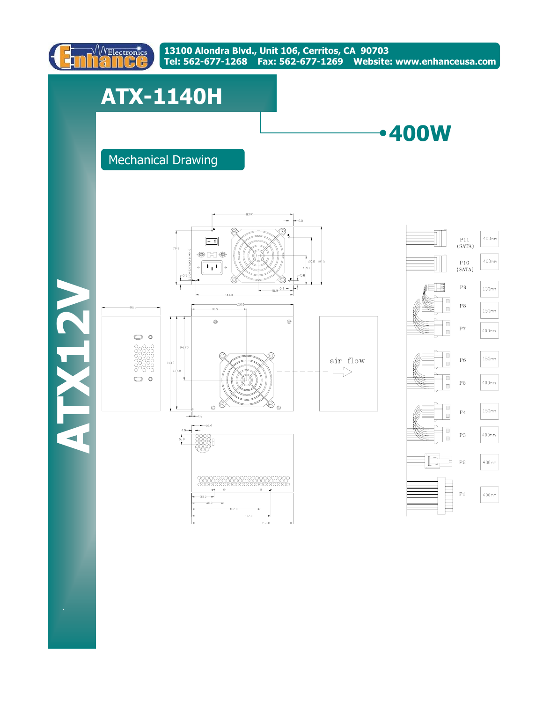

# **ATX-1140H**



# Mechanical Drawing